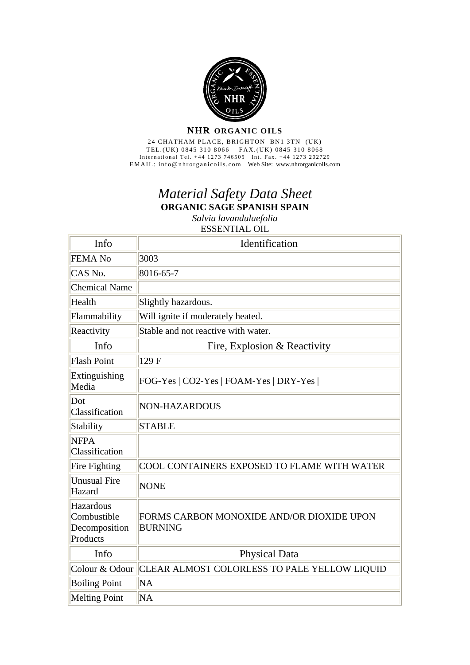

## **NHR ORGANIC OILS**

24 CHATHAM PLACE, BRIGHTON BN1 3TN (UK) TEL.(UK) 0845 310 8066 FAX.(UK) 0845 310 8068 International Tel. +44 1273 746505 Int. Fax. +44 1273 202729 EMAIL: info@nhrorganicoils.com Web Site: www.nhrorganicoils.com

## *Material Safety Data Sheet* **ORGANIC SAGE SPANISH SPAIN**  *Salvia lavandulaefolia* ESSENTIAL OIL

| Info                                                  | Identification                                              |
|-------------------------------------------------------|-------------------------------------------------------------|
| <b>FEMA No</b>                                        | 3003                                                        |
| CAS No.                                               | 8016-65-7                                                   |
| <b>Chemical Name</b>                                  |                                                             |
| Health                                                | Slightly hazardous.                                         |
| Flammability                                          | Will ignite if moderately heated.                           |
| Reactivity                                            | Stable and not reactive with water.                         |
| Info                                                  | Fire, Explosion & Reactivity                                |
| <b>Flash Point</b>                                    | 129 F                                                       |
| Extinguishing<br>Media                                | FOG-Yes   CO2-Yes   FOAM-Yes   DRY-Yes                      |
| Dot<br>Classification                                 | NON-HAZARDOUS                                               |
| Stability                                             | <b>STABLE</b>                                               |
| <b>NFPA</b><br>Classification                         |                                                             |
| Fire Fighting                                         | COOL CONTAINERS EXPOSED TO FLAME WITH WATER                 |
| <b>Unusual Fire</b><br>Hazard                         | <b>NONE</b>                                                 |
| Hazardous<br>Combustible<br>Decomposition<br>Products | FORMS CARBON MONOXIDE AND/OR DIOXIDE UPON<br><b>BURNING</b> |
| Info                                                  | <b>Physical Data</b>                                        |
| Colour & Odour                                        | CLEAR ALMOST COLORLESS TO PALE YELLOW LIQUID                |
| <b>Boiling Point</b>                                  | <b>NA</b>                                                   |
| <b>Melting Point</b>                                  | NA                                                          |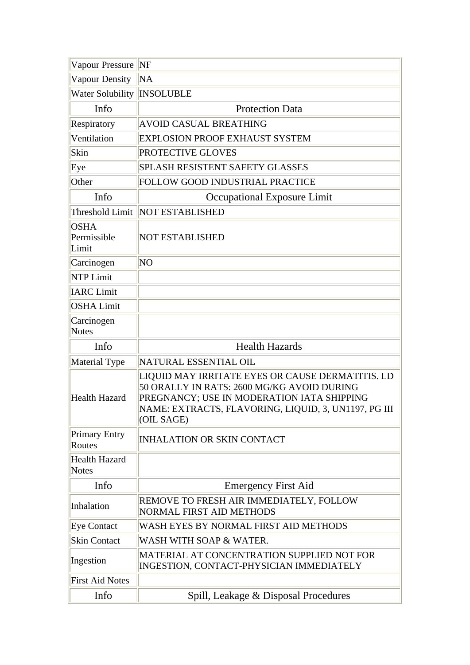| Vapour Pressure                      | <b>NF</b>                                                                                                                                                                                                          |
|--------------------------------------|--------------------------------------------------------------------------------------------------------------------------------------------------------------------------------------------------------------------|
| Vapour Density                       | NA                                                                                                                                                                                                                 |
| Water Solubility                     | <b>INSOLUBLE</b>                                                                                                                                                                                                   |
| Info                                 | <b>Protection Data</b>                                                                                                                                                                                             |
| Respiratory                          | <b>AVOID CASUAL BREATHING</b>                                                                                                                                                                                      |
| Ventilation                          | <b>EXPLOSION PROOF EXHAUST SYSTEM</b>                                                                                                                                                                              |
| Skin                                 | PROTECTIVE GLOVES                                                                                                                                                                                                  |
| Eye                                  | <b>SPLASH RESISTENT SAFETY GLASSES</b>                                                                                                                                                                             |
| Other                                | FOLLOW GOOD INDUSTRIAL PRACTICE                                                                                                                                                                                    |
| Info                                 | Occupational Exposure Limit                                                                                                                                                                                        |
| Threshold Limit                      | <b>NOT ESTABLISHED</b>                                                                                                                                                                                             |
| <b>OSHA</b><br>Permissible<br>Limit  | <b>NOT ESTABLISHED</b>                                                                                                                                                                                             |
| Carcinogen                           | NO                                                                                                                                                                                                                 |
| <b>NTP Limit</b>                     |                                                                                                                                                                                                                    |
| <b>IARC</b> Limit                    |                                                                                                                                                                                                                    |
| <b>OSHA Limit</b>                    |                                                                                                                                                                                                                    |
| Carcinogen<br><b>Notes</b>           |                                                                                                                                                                                                                    |
| Info                                 | <b>Health Hazards</b>                                                                                                                                                                                              |
| Material Type                        | NATURAL ESSENTIAL OIL                                                                                                                                                                                              |
| <b>Health Hazard</b>                 | LIQUID MAY IRRITATE EYES OR CAUSE DERMATITIS. LD<br>50 ORALLY IN RATS: 2600 MG/KG AVOID DURING<br>PREGNANCY; USE IN MODERATION IATA SHIPPING<br>NAME: EXTRACTS, FLAVORING, LIQUID, 3, UN1197, PG III<br>(OIL SAGE) |
| <b>Primary Entry</b><br>Routes       | <b>INHALATION OR SKIN CONTACT</b>                                                                                                                                                                                  |
| <b>Health Hazard</b><br><b>Notes</b> |                                                                                                                                                                                                                    |
| Info                                 | <b>Emergency First Aid</b>                                                                                                                                                                                         |
| Inhalation                           | REMOVE TO FRESH AIR IMMEDIATELY, FOLLOW<br><b>NORMAL FIRST AID METHODS</b>                                                                                                                                         |
| <b>Eye Contact</b>                   | WASH EYES BY NORMAL FIRST AID METHODS                                                                                                                                                                              |
| <b>Skin Contact</b>                  | WASH WITH SOAP & WATER.                                                                                                                                                                                            |
| Ingestion                            | MATERIAL AT CONCENTRATION SUPPLIED NOT FOR<br>INGESTION, CONTACT-PHYSICIAN IMMEDIATELY                                                                                                                             |
| <b>First Aid Notes</b>               |                                                                                                                                                                                                                    |
| Info                                 | Spill, Leakage & Disposal Procedures                                                                                                                                                                               |